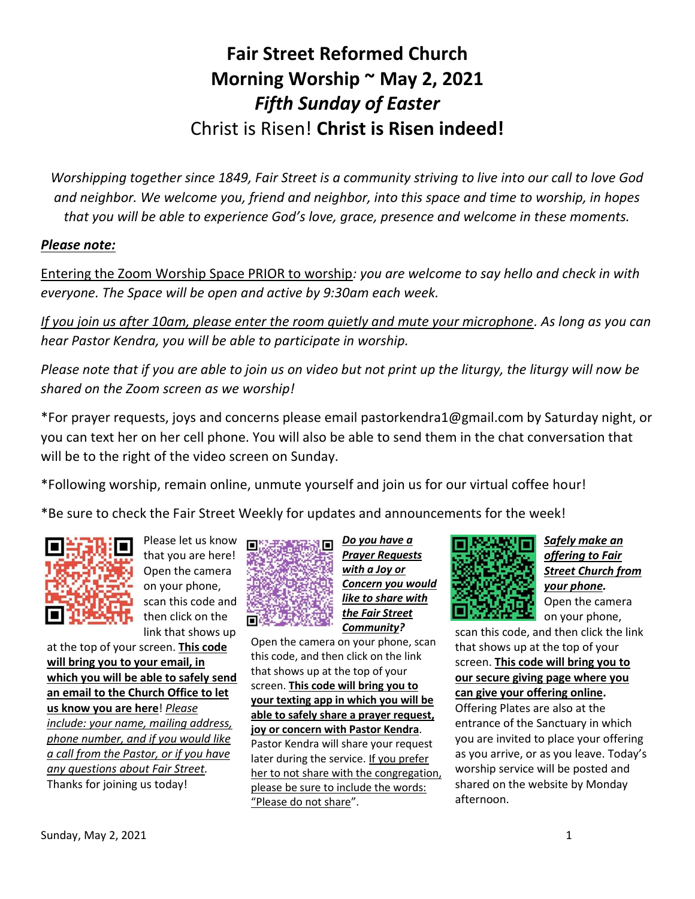## **Fair Street Reformed Church Morning Worship ~ May 2, 2021** *Fifth Sunday of Easter* Christ is Risen! **Christ is Risen indeed!**

*Worshipping together since 1849, Fair Street is a community striving to live into our call to love God and neighbor. We welcome you, friend and neighbor, into this space and time to worship, in hopes that you will be able to experience God's love, grace, presence and welcome in these moments.*

## *Please note:*

Entering the Zoom Worship Space PRIOR to worship*: you are welcome to say hello and check in with everyone. The Space will be open and active by 9:30am each week.*

*If you join us after 10am, please enter the room quietly and mute your microphone. As long as you can hear Pastor Kendra, you will be able to participate in worship.*

*Please note that if you are able to join us on video but not print up the liturgy, the liturgy will now be shared on the Zoom screen as we worship!*

\*For prayer requests, joys and concerns please email pastorkendra1@gmail.com by Saturday night, or you can text her on her cell phone. You will also be able to send them in the chat conversation that will be to the right of the video screen on Sunday.

\*Following worship, remain online, unmute yourself and join us for our virtual coffee hour!

\*Be sure to check the Fair Street Weekly for updates and announcements for the week!



Please let us know that you are here! Open the camera on your phone, scan this code and then click on the link that shows up

at the top of your screen. **This code will bring you to your email, in which you will be able to safely send an email to the Church Office to let us know you are here**! *Please include: your name, mailing address, phone number, and if you would like a call from the Pastor, or if you have any questions about Fair Street.* Thanks for joining us today!



*Do you have a Prayer Requests with a Joy or Concern you would like to share with the Fair Street Community?*

Open the camera on your phone, scan this code, and then click on the link that shows up at the top of your screen. **This code will bring you to your texting app in which you will be able to safely share a prayer request, joy or concern with Pastor Kendra**. Pastor Kendra will share your request later during the service. If you prefer her to not share with the congregation, please be sure to include the words: "Please do not share".



*Safely make an offering to Fair Street Church from your phone.* Open the camera on your phone,

scan this code, and then click the link that shows up at the top of your screen. **This code will bring you to our secure giving page where you can give your offering online.** Offering Plates are also at the entrance of the Sanctuary in which you are invited to place your offering as you arrive, or as you leave. Today's worship service will be posted and shared on the website by Monday afternoon.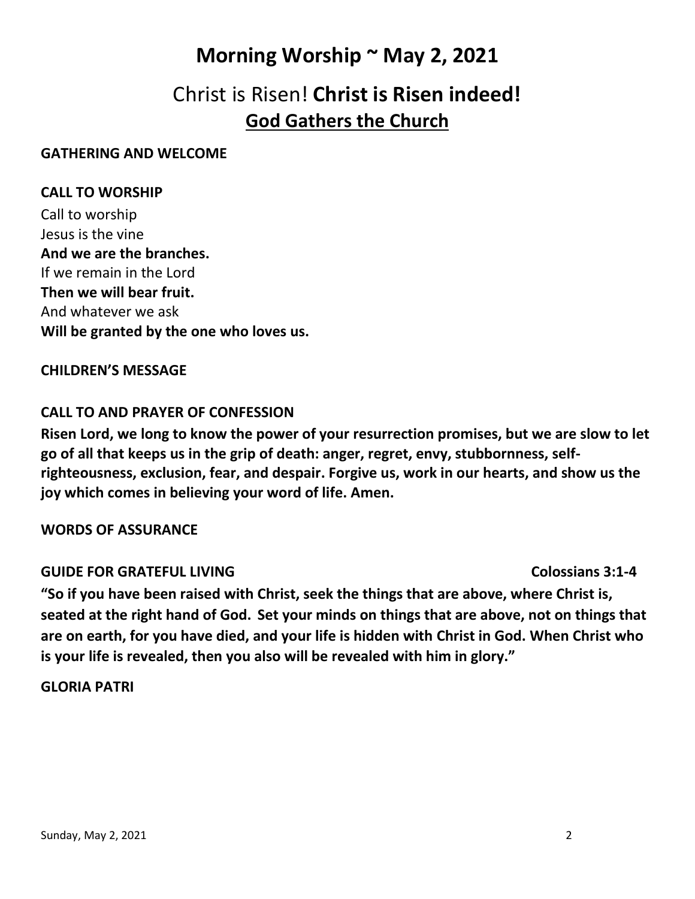## **Morning Worship ~ May 2, 2021**

## Christ is Risen! **Christ is Risen indeed! God Gathers the Church**

#### **GATHERING AND WELCOME**

## **CALL TO WORSHIP**

Call to worship Jesus is the vine **And we are the branches.** If we remain in the Lord **Then we will bear fruit.** And whatever we ask **Will be granted by the one who loves us.**

#### **CHILDREN'S MESSAGE**

## **CALL TO AND PRAYER OF CONFESSION**

**Risen Lord, we long to know the power of your resurrection promises, but we are slow to let go of all that keeps us in the grip of death: anger, regret, envy, stubbornness, selfrighteousness, exclusion, fear, and despair. Forgive us, work in our hearts, and show us the joy which comes in believing your word of life. Amen.**

## **WORDS OF ASSURANCE**

## **GUIDE FOR GRATEFUL LIVING Colossians 3:1-4**

**"So if you have been raised with Christ, seek the things that are above, where Christ is, seated at the right hand of God. Set your minds on things that are above, not on things that are on earth, for you have died, and your life is hidden with Christ in God. When Christ who is your life is revealed, then you also will be revealed with him in glory."**

## **GLORIA PATRI**